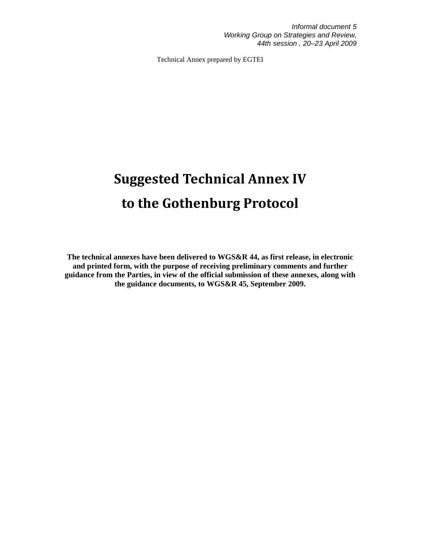Technical Annex prepared by EGTEI

# Suggested Technical Annex IV to the Gothenburg Protocol

**The technical annexes have been delivered to WGS&R 44, as first release, in electronic and printed form, with the purpose of receiving preliminary comments and further guidance from the Parties, in view of the official submission of these annexes, along with the guidance documents, to WGS&R 45, September 2009.**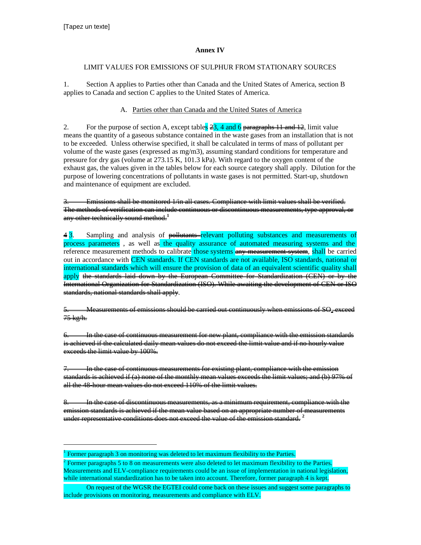-

#### **Annex IV**

#### LIMIT VALUES FOR EMISSIONS OF SULPHUR FROM STATIONARY SOURCES

1. Section A applies to Parties other than Canada and the United States of America, section B applies to Canada and section C applies to the United States of America.

### A. Parties other than Canada and the United States of America

2. For the purpose of section A, except tables  $\frac{23}{43}$ , 4 and 6 paragraphs 11 and 12, limit value means the quantity of a gaseous substance contained in the waste gases from an installation that is not to be exceeded. Unless otherwise specified, it shall be calculated in terms of mass of pollutant per volume of the waste gases (expressed as mg/m3), assuming standard conditions for temperature and pressure for dry gas (volume at 273.15 K, 101.3 kPa). With regard to the oxygen content of the exhaust gas, the values given in the tables below for each source category shall apply. Dilution for the purpose of lowering concentrations of pollutants in waste gases is not permitted. Start-up, shutdown and maintenance of equipment are excluded.

Emissions shall be monitored 1/in all cases. Compliance with limit values shall be verified. The methods of verification can include continuous or discontinuous measurements, type approval, or any other technically sound method.**<sup>1</sup>**

4 3. Sampling and analysis of pollutants-relevant polluting substances and measurements of process parameters , as well as the quality assurance of automated measuring systems and the reference measurement methods to calibrate those systems any measurement system, shall be carried out in accordance with CEN standards. If CEN standards are not available, ISO standards, national or international standards which will ensure the provision of data of an equivalent scientific quality shall apply the standards laid down by the European Committee for Standardization (CEN) or by the International Organization for Standardization (ISO). While awaiting the development of CEN or ISO standards, national standards shall apply.

 $\rm{Measurements}$  of emissions should be carried out continuously when emissions of  $\rm{SO}_2$  exceed 75 kg/h.

6. In the case of continuous measurement for new plant, compliance with the emission standards is achieved if the calculated daily mean values do not exceed the limit value and if no hourly value exceeds the limit value by 100%.

7. In the case of continuous measurements for existing plant, compliance with the emission standards is achieved if (a) none of the monthly mean values exceeds the limit values; and (b) 97% of all the 48-hour mean values do not exceed 110% of the limit values.

8. In the case of discontinuous measurements, as a minimum requirement, compliance with the emission standards is achieved if the mean value based on an appropriate number of measurements under representative conditions does not exceed the value of the emission standard. **<sup>2</sup>**

<sup>&</sup>lt;sup>1</sup> Former paragraph 3 on monitoring was deleted to let maximum flexibility to the Parties.

 $2$  Former paragraphs 5 to 8 on measurements were also deleted to let maximum flexibility to the Parties. Measurements and ELV-compliance requirements could be an issue of implementation in national legislation, while international standardization has to be taken into account. Therefore, former paragraph 4 is kept.

On request of the WGSR the EGTEI could come back on these issues and suggest some paragraphs to include provisions on monitoring, measurements and compliance with ELV.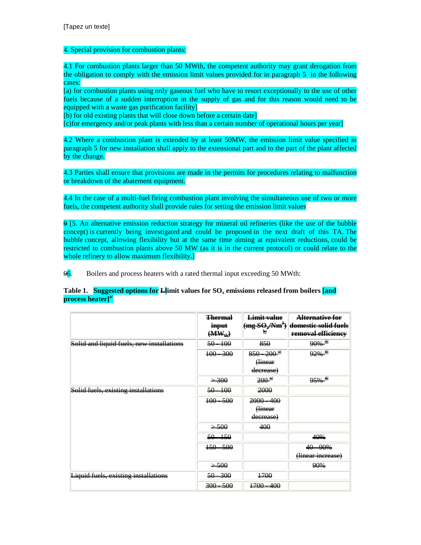#### 4. Special provision for combustion plants:

4.1 For combustion plants larger than 50 MWth, the competent authority may grant derogation from the obligation to comply with the emission limit values provided for in paragraph 5 in the following cases:

[a) for combustion plants using only gaseous fuel who have to resort exceptionally to the use of other fuels because of a sudden interruption in the supply of gas and for this reason would need to be equipped with a waste gas purification facility]

[b) for old existing plants that will close down before a certain date]

[c)for emergency and/or peak plants with less than a certain number of operational hours per year]

4.2 Where a combustion plant is extended by at least 50MW, the emission limit value specified in paragraph 5 for new installation shall apply to the extensional part and to the part of the plant affected by the change.

4.3 Parties shall ensure that provisions are made in the permits for procedures relating to malfunction or breakdown of the abatement equipment.

4.4 In the case of a multi-fuel firing combustion plant involving the simultaneous use of two or more fuels, the competent authority shall provide rules for setting the emission limit values

9 [5. An alternative emission reduction strategy for mineral oil refineries (like the use of the bubble concept) is currently being investigated and could be proposed in the next draft of this TA. The bubble concept, allowing flexibility but at the same time aiming at equivalent reductions, could be restricted to combustion plants above 50 MW (as it is in the current protocol) or could relate to the whole refinery to allow maximum flexibility.]

96. Boilers and process heaters with a rated thermal input exceeding 50 MWth:

#### Table 1. Suggested options for **L**imit values for SO<sub>**x**</sub> emissions released from boilers [and **process heater]a/**

|                                           | <b>Thermal</b><br>i <del>nput</del><br>$(MW_{th})$ | <del>Limit value</del><br>₩ | <del>Alternative for</del><br>$\frac{1}{2}$ (mg SO <sub>2</sub> /Nm <sup>3</sup> ) domestic solid fuels<br>removal efficiency |
|-------------------------------------------|----------------------------------------------------|-----------------------------|-------------------------------------------------------------------------------------------------------------------------------|
| Solid and liquid fuels, new installations | $\frac{50-100}{20}$                                | 850                         | $90\%$ $\frac{d}{ }$                                                                                                          |
|                                           | $\frac{100 - 300}{200}$                            | $850 - 200$ <sup>#</sup>    | $92\%$ <sup><math>\frac{d}{ }</math></sup>                                                                                    |
|                                           |                                                    | Hinear                      |                                                                                                                               |
|                                           |                                                    | decrease)                   |                                                                                                                               |
|                                           | $\rightarrow 300$                                  | $200^{\circ}$               | $95\%$ $\frac{4}{5}$                                                                                                          |
| Solid fuels, existing installations       | $\frac{50-100}{20}$                                | 2000                        |                                                                                                                               |
|                                           | $\frac{100}{200}$                                  | $2000 - 400$                |                                                                                                                               |
|                                           |                                                    | <b>Hinear</b>               |                                                                                                                               |
|                                           |                                                    | decrease)                   |                                                                                                                               |
|                                           | $\rightarrow$ 500                                  | 400                         |                                                                                                                               |
|                                           | $\frac{50-150}{20}$                                |                             | 40%                                                                                                                           |
|                                           | $\frac{150 - 500}{500}$                            |                             | $40 - 90%$                                                                                                                    |
|                                           |                                                    |                             | (linear increase)                                                                                                             |
|                                           | $\rightarrow 500$                                  |                             | 90%                                                                                                                           |
| Liquid fuels, existing installations      | $\frac{50 - 300}{50}$                              | $+700$                      |                                                                                                                               |
|                                           | $\frac{300-500}{200}$                              | $+700 - 400$                |                                                                                                                               |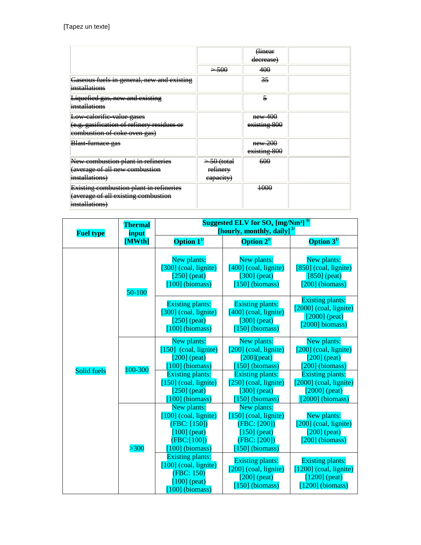|                                            |                           | <b>Hinear</b>           |  |
|--------------------------------------------|---------------------------|-------------------------|--|
|                                            |                           | <del>decrease)</del>    |  |
|                                            | $\rightarrow$ 500         | 400                     |  |
| Gaseous fuels in general, new and existing |                           | 35                      |  |
| <i>installations</i>                       |                           |                         |  |
| Liquefied gas, new and existing            |                           | 5                       |  |
| <i>installations</i>                       |                           |                         |  |
| Low-calorific-value gases                  |                           | new 400                 |  |
| (e.g. gasification of refinery residues or |                           | existing 800            |  |
| eombustion of coke oven gas)               |                           |                         |  |
| Blast-furnace gas                          |                           | $new-200$               |  |
|                                            |                           | <del>existing 800</del> |  |
| New combustion plant in refineries         | <del>&gt; 50 (total</del> | 600                     |  |
| (average of all new combustion             | re <del>finery</del>      |                         |  |
| installations)                             | eapacity)                 |                         |  |
| Existing combustion plant in refineries    |                           | 1000                    |  |
| (average of all existing combustion        |                           |                         |  |
| installations)                             |                           |                         |  |

| <b>Fuel type</b> | <b>Thermal</b><br>input | Suggested ELV for $\rm{SO}_{x}$ [mg/Nm <sup>3] b/</sup><br>[hourly, monthly, daily] $^{2/2}$                                                                                                                     |                                                                                                                                                                                                       |                                                                                                                                                                               |
|------------------|-------------------------|------------------------------------------------------------------------------------------------------------------------------------------------------------------------------------------------------------------|-------------------------------------------------------------------------------------------------------------------------------------------------------------------------------------------------------|-------------------------------------------------------------------------------------------------------------------------------------------------------------------------------|
|                  | [MWth]                  | Option $1^{1/2}$                                                                                                                                                                                                 | Option $2^{1/2}$                                                                                                                                                                                      | Option $3^{1/2}$                                                                                                                                                              |
|                  | 50-100                  | New plants:<br>[300] (coal, lignite)<br>$[250]$ (peat)<br>$[100]$ (biomass)                                                                                                                                      | New plants:<br>$[400]$ (coal, lignite)<br>$[300]$ (peat)<br>[ $150$ ] (biomass)                                                                                                                       | New plants:<br>$[850]$ (coal, lignite)<br>$[850]$ (peat)<br>$[200]$ (biomass)                                                                                                 |
|                  |                         | <b>Existing plants:</b><br>$[300]$ (coal, lignite)<br>[250] (peat)<br>$[100]$ (biomass)                                                                                                                          | <b>Existing plants:</b><br>$[400]$ (coal, lignite)<br>[300] (peat)<br>$[150]$ (biomass)                                                                                                               | <b>Existing plants:</b><br>$[2000]$ (coal, lignite)<br>$[2000]$ (peat)<br>$[2000]$ biomass)                                                                                   |
| Solid fuels      | 100-300                 | New plants:<br>$[150]$ (coal, lignite)<br>[ $200$ ] (peat)<br>$[100]$ (biomass)<br><b>Existing plants:</b><br>[150] (coal, lignite)<br>$[250]$ (peat)<br>$[100]$ (biomass)                                       | New plants:<br>$[200]$ (coal, lignite)<br>$[200]$ (peat)<br>[150] (biomass)<br><b>Existing plants:</b><br>$[250]$ (coal, lignite)<br>$[300]$ (peat)<br>150] (biomass)                                 | New plants:<br>$[200]$ (coal, lignite)<br>$[200]$ (peat)<br>[200] (biomass)<br><b>Existing plants:</b><br>$[2000]$ (coal, lignite)<br>[ $2000$ ] (peat)<br>$[2000]$ (biomass) |
|                  | $>300$                  | New plants:<br>[100] (coal, lignite)<br>(FBC: [150])<br>$[100]$ (peat)<br>(FBC:[100])<br>100] (biomass)<br><b>Existing plants:</b><br>[100] (coal, lignite)<br>(FBC: 150)<br>$[100]$ (peat)<br>$[100]$ (biomass) | New plants:<br>$[150]$ (coal, lignite)<br>(FBC: [200])<br>$[150]$ (peat)<br>(FBC: [200])<br>150] (biomass)<br><b>Existing plants:</b><br>[200] (coal, lignite)<br>$[200]$ (peat)<br>$[150]$ (biomass) | New plants:<br>$[200]$ (coal, lignite)<br>$[200]$ (peat)<br>$[200]$ (biomass)<br><b>Existing plants:</b><br>$[1200]$ (coal, lignite)<br>$[1200]$ (peat)<br>$[1200]$ (biomass) |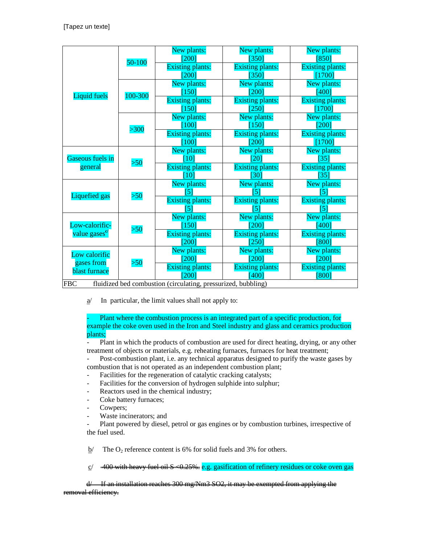|                             |         | New plants:                                                 | New plants:             | New plants:             |
|-----------------------------|---------|-------------------------------------------------------------|-------------------------|-------------------------|
|                             | 50-100  | 2001                                                        | [350]                   | [850]                   |
|                             |         | <b>Existing plants:</b>                                     | <b>Existing plants:</b> | <b>Existing plants:</b> |
|                             |         | [200]                                                       | [350]                   | [1700]                  |
|                             |         | New plants:                                                 | New plants:             | New plants:             |
| Liquid fuels                | 100-300 | 150                                                         | 2001                    | [400]                   |
|                             |         | <b>Existing plants:</b>                                     | <b>Existing plants:</b> | <b>Existing plants:</b> |
|                             |         | [150]                                                       | [250]                   | [1700]                  |
|                             |         | New plants:                                                 | New plants:             | New plants:             |
|                             | $>300$  | 1001                                                        | [150]                   | $200^\circ$             |
|                             |         | <b>Existing plants:</b>                                     | <b>Existing plants:</b> | <b>Existing plants:</b> |
|                             |         | [100]                                                       | $\overline{200}$        | [1700]                  |
|                             |         | New plants:                                                 | New plants:             | New plants:             |
| Gaseous fuels in            | > 50    | [10]                                                        | [20]                    | [35]                    |
| general                     |         | <b>Existing plants:</b>                                     | <b>Existing plants:</b> | <b>Existing plants:</b> |
|                             |         | [10]                                                        | [30]                    | [35]                    |
|                             |         | New plants:                                                 | New plants:             | New plants:             |
| Liquefied gas               | >50     | 5                                                           |                         | 5                       |
|                             |         | <b>Existing plants:</b>                                     | <b>Existing plants:</b> | <b>Existing plants:</b> |
|                             |         | 5                                                           | 5                       | '5                      |
|                             |         | New plants:                                                 | New plants:             | New plants:             |
| Low-calorific-              | >50     | 150                                                         | [200]                   | [400]                   |
| value gases <sup>c</sup>    |         | <b>Existing plants:</b>                                     | <b>Existing plants:</b> | <b>Existing plants:</b> |
|                             |         | 200                                                         | [250]                   | [800]                   |
| Low calorific<br>gases from |         | New plants:                                                 | New plants:             | New plants:             |
|                             | >50     | [200]                                                       | 2001                    | $200^\circ$             |
| blast furnace               |         | <b>Existing plants:</b>                                     | <b>Existing plants:</b> | <b>Existing plants:</b> |
|                             |         |                                                             | $-400$                  | [800]                   |
| EBC                         |         | fluidized hed combustion (circulating pressurized bubbling) |                         |                         |

FBC fluidized bed combustion (circulating, pressurized, bubbling)

 $\underline{a}$  In particular, the limit values shall not apply to:

Plant where the combustion process is an integrated part of a specific production, for example the coke oven used in the Iron and Steel industry and glass and ceramics production plants;

- Plant in which the products of combustion are used for direct heating, drying, or any other treatment of objects or materials, e.g. reheating furnaces, furnaces for heat treatment;

- Post-combustion plant, i.e. any technical apparatus designed to purify the waste gases by combustion that is not operated as an independent combustion plant;

- Facilities for the regeneration of catalytic cracking catalysts;
- Facilities for the conversion of hydrogen sulphide into sulphur;
- Reactors used in the chemical industry;
- Coke battery furnaces;
- Cowpers;
- Waste incinerators; and

Plant powered by diesel, petrol or gas engines or by combustion turbines, irrespective of the fuel used.

 $b/$  The O<sub>2</sub> reference content is 6% for solid fuels and 3% for others.

 $\frac{c}{400}$  with heavy fuel oil S <0.25%. e.g. gasification of refinery residues or coke oven gas

If an installation reaches 300 mg/Nm3 SO2, it may be exempted from applying the removal efficiency.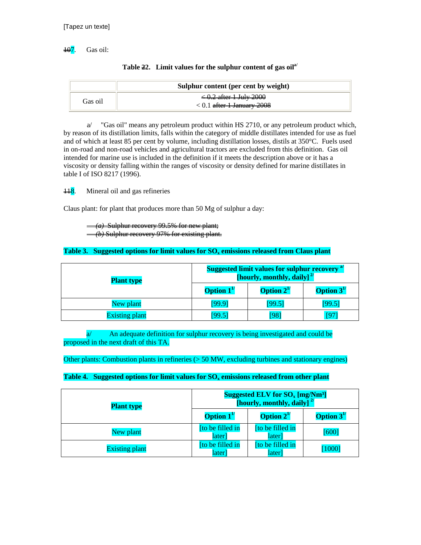$\frac{107}{10}$ . Gas oil:

|         | Sulphur content (per cent by weight)                                             |
|---------|----------------------------------------------------------------------------------|
| Gas oil | <del>&lt; 0.2 after 1 July 2000</del><br>$< 0.1$ <del>after 1 January 2008</del> |

| Table $22.$ Limit values for the sulphur content of gas oil <sup>a/</sup> |  |  |  |
|---------------------------------------------------------------------------|--|--|--|
|---------------------------------------------------------------------------|--|--|--|

a/ "Gas oil" means any petroleum product within HS 2710, or any petroleum product which, by reason of its distillation limits, falls within the category of middle distillates intended for use as fuel and of which at least 85 per cent by volume, including distillation losses, distils at 350°C. Fuels used in on-road and non-road vehicles and agricultural tractors are excluded from this definition. Gas oil intended for marine use is included in the definition if it meets the description above or it has a viscosity or density falling within the ranges of viscosity or density defined for marine distillates in table I of ISO 8217 (1996).

 $\frac{118}{118}$ . Mineral oil and gas refineries

Claus plant: for plant that produces more than 50 Mg of sulphur a day:

 *(a)* Sulphur recovery 99.5% for new plant; recovery 97% for existing plant.

#### **Table 3. Suggested options for limit values for SOx emissions released from Claus plant**

| <b>Plant type</b>     | <b>Suggested limit values for sulphur recovery</b> <sup>a'</sup><br>[hourly, monthly, daily] $^{2/}$ |                  |                  |
|-----------------------|------------------------------------------------------------------------------------------------------|------------------|------------------|
|                       | <b>Option</b> $1^{1/2}$                                                                              | Option $2^{1/2}$ | Option $3^{1/2}$ |
| New plant             | [99.9]                                                                                               | [99.5]           | [99.5]           |
| <b>Existing plant</b> | [99.5]                                                                                               | 98               | [97              |

a/ An adequate definition for sulphur recovery is being investigated and could be proposed in the next draft of this TA.

Other plants: Combustion plants in refineries (> 50 MW, excluding turbines and stationary engines)

#### **Table 4. Suggested options for limit values for SOx emissions released from other plant**

| <b>Plant type</b>     | Suggested ELV for $SO_x$ [mg/Nm <sup>3</sup> ]<br>[hourly, monthly, daily] $^{27}$ |                            |                  |
|-----------------------|------------------------------------------------------------------------------------|----------------------------|------------------|
|                       | <b>Option</b> $1^{\prime\prime}$                                                   | <b>Option</b> $2^{1/2}$    | Option $3^{1/2}$ |
| New plant             | [to be filled in<br>later]                                                         | [to be filled in<br>later] | $[600]$          |
| <b>Existing plant</b> | [to be filled in<br>later]                                                         | [to be filled in<br>later] | [1000]           |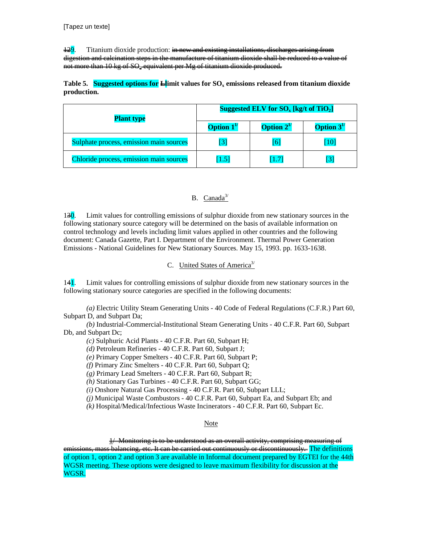$\frac{129}{12}$ . Titanium dioxide production: in new and existing installations, discharges arising from digestion and calcination steps in the manufacture of titanium dioxide shall be reduced to a value of not more than 10 kg of SO<sub>2</sub> equivalent per Mg of titanium dioxide produced.

**Table 5. Suggested options for Llimit values for SOx emissions released from titanium dioxide production.** 

| <b>Plant type</b>                       | Suggested ELV for $SO_{x}$ [kg/t of TiO <sub>2</sub> ] |                         |                  |
|-----------------------------------------|--------------------------------------------------------|-------------------------|------------------|
|                                         | <b>Option</b> $1^{\prime\prime}$                       | <b>Option</b> $2^{1/2}$ | Option $3^{1/2}$ |
| Sulphate process, emission main sources | $\lceil 3 \rceil$                                      | [6]                     | [10]             |
| Chloride process, emission main sources | [1.5]                                                  | [1.7]                   | $\overline{3}$   |

## B. Canada $3/$

130. Limit values for controlling emissions of sulphur dioxide from new stationary sources in the following stationary source category will be determined on the basis of available information on control technology and levels including limit values applied in other countries and the following document: Canada Gazette, Part I. Department of the Environment. Thermal Power Generation Emissions - National Guidelines for New Stationary Sources. May 15, 1993. pp. 1633-1638.

## C. United States of America<sup>3/</sup>

141. Limit values for controlling emissions of sulphur dioxide from new stationary sources in the following stationary source categories are specified in the following documents:

 *(a)* Electric Utility Steam Generating Units - 40 Code of Federal Regulations (C.F.R.) Part 60, Subpart D, and Subpart Da;

 *(b)* Industrial-Commercial-Institutional Steam Generating Units - 40 C.F.R. Part 60, Subpart Db, and Subpart Dc;

*(c)* Sulphuric Acid Plants - 40 C.F.R. Part 60, Subpart H;

*(d)* Petroleum Refineries - 40 C.F.R. Part 60, Subpart J;

*(e)* Primary Copper Smelters - 40 C.F.R. Part 60, Subpart P;

*(f)* Primary Zinc Smelters - 40 C.F.R. Part 60, Subpart Q;

*(g)* Primary Lead Smelters - 40 C.F.R. Part 60, Subpart R;

*(h)* Stationary Gas Turbines - 40 C.F.R. Part 60, Subpart GG;

*(i)* Onshore Natural Gas Processing - 40 C.F.R. Part 60, Subpart LLL;

*(j)* Municipal Waste Combustors - 40 C.F.R. Part 60, Subpart Ea, and Subpart Eb; and

*(k)* Hospital/Medical/Infectious Waste Incinerators - 40 C.F.R. Part 60, Subpart Ec.

#### Note

 1/ Monitoring is to be understood as an overall activity, comprising measuring of emissions, mass balancing, etc. It can be carried out continuously or discontinuously. The definitions of option 1, option 2 and option 3 are available in Informal document prepared by EGTEI for the 44th WGSR meeting. These options were designed to leave maximum flexibility for discussion at the WGSR.